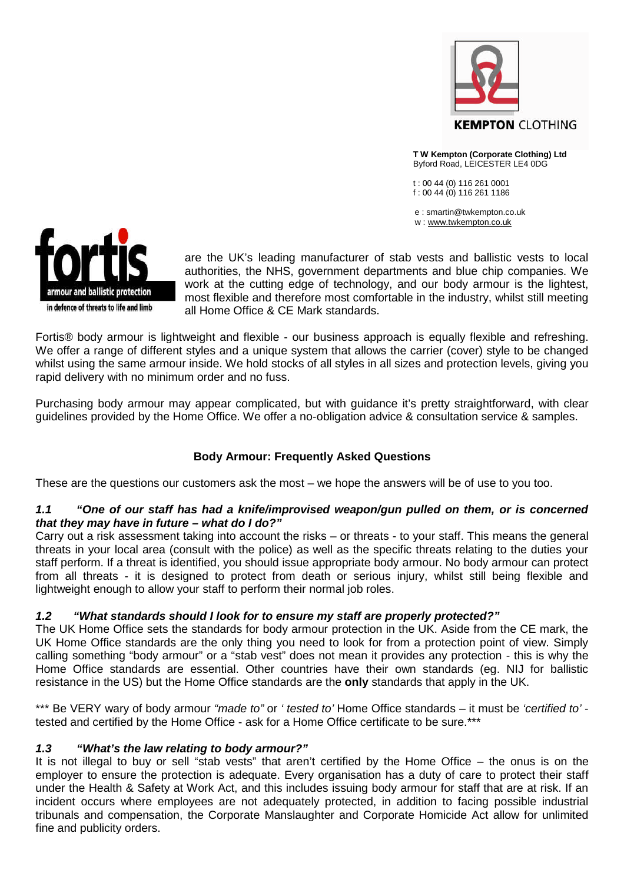

**T W Kempton (Corporate Clothing) Ltd** Byford Road, LEICESTER LE4 0DG

t : 00 44 (0) 116 261 0001 f : 00 44 (0) 116 261 1186

e : smartin@twkempton.co.uk w : www.twkempton.co.uk



are the UK's leading manufacturer of stab vests and ballistic vests to local authorities, the NHS, government departments and blue chip companies. We work at the cutting edge of technology, and our body armour is the lightest, most flexible and therefore most comfortable in the industry, whilst still meeting all Home Office & CE Mark standards.

Fortis® body armour is lightweight and flexible - our business approach is equally flexible and refreshing. We offer a range of different styles and a unique system that allows the carrier (cover) style to be changed whilst using the same armour inside. We hold stocks of all styles in all sizes and protection levels, giving you rapid delivery with no minimum order and no fuss.

Purchasing body armour may appear complicated, but with guidance it's pretty straightforward, with clear guidelines provided by the Home Office. We offer a no-obligation advice & consultation service & samples.

# **Body Armour: Frequently Asked Questions**

These are the questions our customers ask the most – we hope the answers will be of use to you too.

## *1.1 "One of our staff has had a knife/improvised weapon/gun pulled on them, or is concerned that they may have in future – what do I do?"*

Carry out a risk assessment taking into account the risks – or threats - to your staff. This means the general threats in your local area (consult with the police) as well as the specific threats relating to the duties your staff perform. If a threat is identified, you should issue appropriate body armour. No body armour can protect from all threats - it is designed to protect from death or serious injury, whilst still being flexible and lightweight enough to allow your staff to perform their normal job roles.

## *1.2 "What standards should I look for to ensure my staff are properly protected?"*

The UK Home Office sets the standards for body armour protection in the UK. Aside from the CE mark, the UK Home Office standards are the only thing you need to look for from a protection point of view. Simply calling something "body armour" or a "stab vest" does not mean it provides any protection - this is why the Home Office standards are essential. Other countries have their own standards (eg. NIJ for ballistic resistance in the US) but the Home Office standards are the **only** standards that apply in the UK.

\*\*\* Be VERY wary of body armour *"made to"* or *' tested to'* Home Office standards – it must be *'certified to'* tested and certified by the Home Office - ask for a Home Office certificate to be sure.\*\*\*

## *1.3 "What's the law relating to body armour?"*

It is not illegal to buy or sell "stab vests" that aren't certified by the Home Office – the onus is on the employer to ensure the protection is adequate. Every organisation has a duty of care to protect their staff under the Health & Safety at Work Act, and this includes issuing body armour for staff that are at risk. If an incident occurs where employees are not adequately protected, in addition to facing possible industrial tribunals and compensation, the Corporate Manslaughter and Corporate Homicide Act allow for unlimited fine and publicity orders.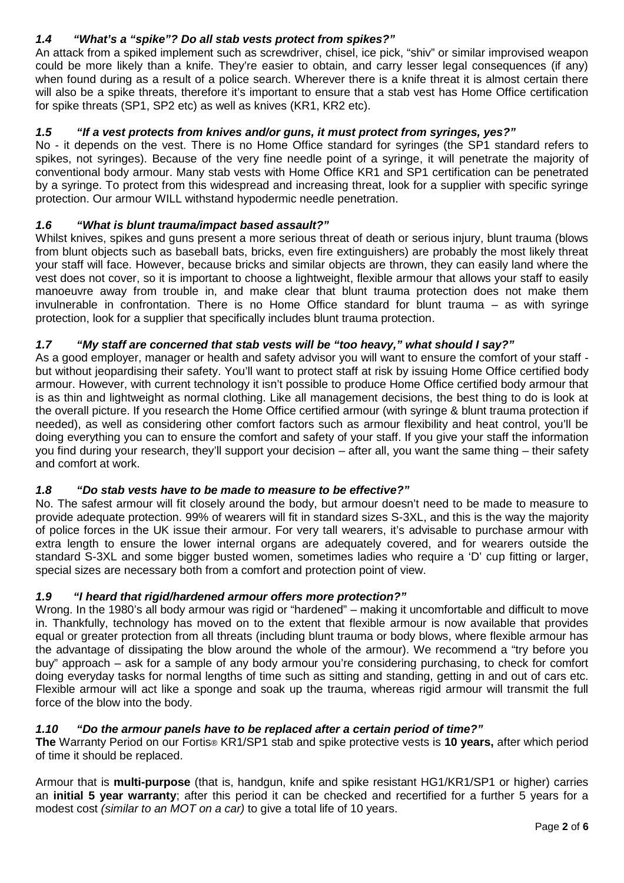# *1.4 "What's a "spike"? Do all stab vests protect from spikes?"*

An attack from a spiked implement such as screwdriver, chisel, ice pick, "shiv" or similar improvised weapon could be more likely than a knife. They're easier to obtain, and carry lesser legal consequences (if any) when found during as a result of a police search. Wherever there is a knife threat it is almost certain there will also be a spike threats, therefore it's important to ensure that a stab vest has Home Office certification for spike threats (SP1, SP2 etc) as well as knives (KR1, KR2 etc).

## *1.5 "If a vest protects from knives and/or guns, it must protect from syringes, yes?"*

No - it depends on the vest. There is no Home Office standard for syringes (the SP1 standard refers to spikes, not syringes). Because of the very fine needle point of a syringe, it will penetrate the majority of conventional body armour. Many stab vests with Home Office KR1 and SP1 certification can be penetrated by a syringe. To protect from this widespread and increasing threat, look for a supplier with specific syringe protection. Our armour WILL withstand hypodermic needle penetration.

## *1.6 "What is blunt trauma/impact based assault?"*

Whilst knives, spikes and guns present a more serious threat of death or serious injury, blunt trauma (blows from blunt objects such as baseball bats, bricks, even fire extinguishers) are probably the most likely threat your staff will face. However, because bricks and similar objects are thrown, they can easily land where the vest does not cover, so it is important to choose a lightweight, flexible armour that allows your staff to easily manoeuvre away from trouble in, and make clear that blunt trauma protection does not make them invulnerable in confrontation. There is no Home Office standard for blunt trauma – as with syringe protection, look for a supplier that specifically includes blunt trauma protection.

## *1.7 "My staff are concerned that stab vests will be "too heavy," what should I say?"*

As a good employer, manager or health and safety advisor you will want to ensure the comfort of your staff but without jeopardising their safety. You'll want to protect staff at risk by issuing Home Office certified body armour. However, with current technology it isn't possible to produce Home Office certified body armour that is as thin and lightweight as normal clothing. Like all management decisions, the best thing to do is look at the overall picture. If you research the Home Office certified armour (with syringe & blunt trauma protection if needed), as well as considering other comfort factors such as armour flexibility and heat control, you'll be doing everything you can to ensure the comfort and safety of your staff. If you give your staff the information you find during your research, they'll support your decision – after all, you want the same thing – their safety and comfort at work.

## *1.8 "Do stab vests have to be made to measure to be effective?"*

No. The safest armour will fit closely around the body, but armour doesn't need to be made to measure to provide adequate protection. 99% of wearers will fit in standard sizes S-3XL, and this is the way the majority of police forces in the UK issue their armour. For very tall wearers, it's advisable to purchase armour with extra length to ensure the lower internal organs are adequately covered, and for wearers outside the standard S-3XL and some bigger busted women, sometimes ladies who require a 'D' cup fitting or larger, special sizes are necessary both from a comfort and protection point of view.

## *1.9 "I heard that rigid/hardened armour offers more protection?"*

Wrong. In the 1980's all body armour was rigid or "hardened" – making it uncomfortable and difficult to move in. Thankfully, technology has moved on to the extent that flexible armour is now available that provides equal or greater protection from all threats (including blunt trauma or body blows, where flexible armour has the advantage of dissipating the blow around the whole of the armour). We recommend a "try before you buy" approach – ask for a sample of any body armour you're considering purchasing, to check for comfort doing everyday tasks for normal lengths of time such as sitting and standing, getting in and out of cars etc. Flexible armour will act like a sponge and soak up the trauma, whereas rigid armour will transmit the full force of the blow into the body.

#### *1.10 "Do the armour panels have to be replaced after a certain period of time?"*

**The** Warranty Period on our Fortis® KR1/SP1 stab and spike protective vests is **10 years,** after which period of time it should be replaced.

Armour that is **multi-purpose** (that is, handgun, knife and spike resistant HG1/KR1/SP1 or higher) carries an **initial 5 year warranty**; after this period it can be checked and recertified for a further 5 years for a modest cost *(similar to an MOT on a car)* to give a total life of 10 years.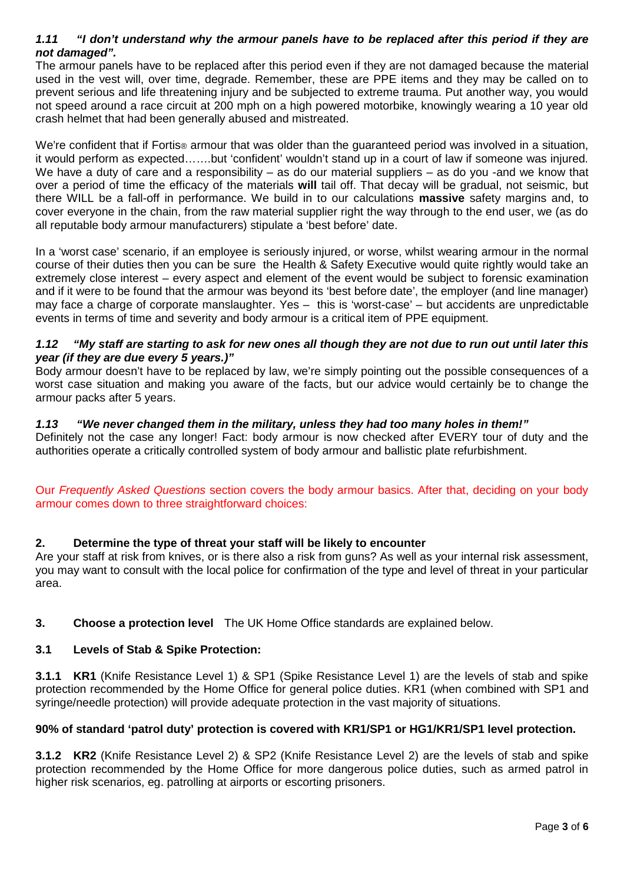#### *1.11 "I don't understand why the armour panels have to be replaced after this period if they are not damaged".*

The armour panels have to be replaced after this period even if they are not damaged because the material used in the vest will, over time, degrade. Remember, these are PPE items and they may be called on to prevent serious and life threatening injury and be subjected to extreme trauma. Put another way, you would not speed around a race circuit at 200 mph on a high powered motorbike, knowingly wearing a 10 year old crash helmet that had been generally abused and mistreated.

We're confident that if Fortis<sup>®</sup> armour that was older than the quaranteed period was involved in a situation, it would perform as expected…….but 'confident' wouldn't stand up in a court of law if someone was injured. We have a duty of care and a responsibility – as do our material suppliers – as do you -and we know that over a period of time the efficacy of the materials **will** tail off. That decay will be gradual, not seismic, but there WILL be a fall-off in performance. We build in to our calculations **massive** safety margins and, to cover everyone in the chain, from the raw material supplier right the way through to the end user, we (as do all reputable body armour manufacturers) stipulate a 'best before' date.

In a 'worst case' scenario, if an employee is seriously injured, or worse, whilst wearing armour in the normal course of their duties then you can be sure the Health & Safety Executive would quite rightly would take an extremely close interest – every aspect and element of the event would be subject to forensic examination and if it were to be found that the armour was beyond its 'best before date', the employer (and line manager) may face a charge of corporate manslaughter. Yes – this is 'worst-case' – but accidents are unpredictable events in terms of time and severity and body armour is a critical item of PPE equipment.

#### *1.12 "My staff are starting to ask for new ones all though they are not due to run out until later this year (if they are due every 5 years.)"*

Body armour doesn't have to be replaced by law, we're simply pointing out the possible consequences of a worst case situation and making you aware of the facts, but our advice would certainly be to change the armour packs after 5 years.

## *1.13 "We never changed them in the military, unless they had too many holes in them!"*

Definitely not the case any longer! Fact: body armour is now checked after EVERY tour of duty and the authorities operate a critically controlled system of body armour and ballistic plate refurbishment.

Our *Frequently Asked Questions* section covers the body armour basics. After that, deciding on your body armour comes down to three straightforward choices:

## **2. Determine the type of threat your staff will be likely to encounter**

Are your staff at risk from knives, or is there also a risk from guns? As well as your internal risk assessment, you may want to consult with the local police for confirmation of the type and level of threat in your particular area.

#### **3. Choose a protection level** The UK Home Office standards are explained below.

#### **3.1 Levels of Stab & Spike Protection:**

**3.1.1 KR1** (Knife Resistance Level 1) & SP1 (Spike Resistance Level 1) are the levels of stab and spike protection recommended by the Home Office for general police duties. KR1 (when combined with SP1 and syringe/needle protection) will provide adequate protection in the vast majority of situations.

#### **90% of standard 'patrol duty' protection is covered with KR1/SP1 or HG1/KR1/SP1 level protection.**

**3.1.2 KR2** (Knife Resistance Level 2) & SP2 (Knife Resistance Level 2) are the levels of stab and spike protection recommended by the Home Office for more dangerous police duties, such as armed patrol in higher risk scenarios, eg. patrolling at airports or escorting prisoners.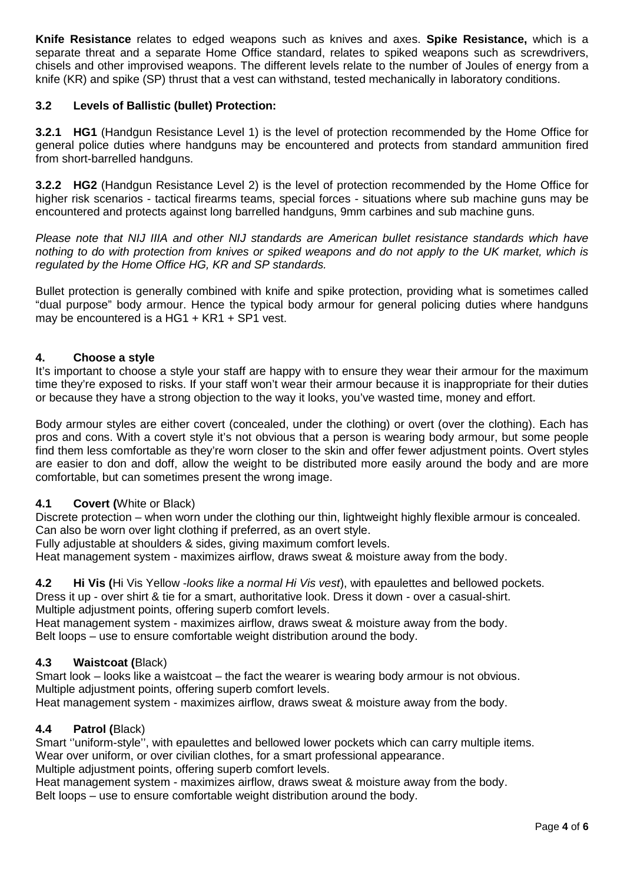**Knife Resistance** relates to edged weapons such as knives and axes. **Spike Resistance,** which is a separate threat and a separate Home Office standard, relates to spiked weapons such as screwdrivers, chisels and other improvised weapons. The different levels relate to the number of Joules of energy from a knife (KR) and spike (SP) thrust that a vest can withstand, tested mechanically in laboratory conditions.

## **3.2 Levels of Ballistic (bullet) Protection:**

**3.2.1 HG1** (Handgun Resistance Level 1) is the level of protection recommended by the Home Office for general police duties where handguns may be encountered and protects from standard ammunition fired from short-barrelled handguns.

**3.2.2 HG2** (Handgun Resistance Level 2) is the level of protection recommended by the Home Office for higher risk scenarios - tactical firearms teams, special forces - situations where sub machine guns may be encountered and protects against long barrelled handguns, 9mm carbines and sub machine guns.

*Please note that NIJ IIIA and other NIJ standards are American bullet resistance standards which have nothing to do with protection from knives or spiked weapons and do not apply to the UK market, which is regulated by the Home Office HG, KR and SP standards.*

Bullet protection is generally combined with knife and spike protection, providing what is sometimes called "dual purpose" body armour. Hence the typical body armour for general policing duties where handguns may be encountered is a HG1 + KR1 + SP1 vest.

#### **4. Choose a style**

It's important to choose a style your staff are happy with to ensure they wear their armour for the maximum time they're exposed to risks. If your staff won't wear their armour because it is inappropriate for their duties or because they have a strong objection to the way it looks, you've wasted time, money and effort.

Body armour styles are either covert (concealed, under the clothing) or overt (over the clothing). Each has pros and cons. With a covert style it's not obvious that a person is wearing body armour, but some people find them less comfortable as they're worn closer to the skin and offer fewer adjustment points. Overt styles are easier to don and doff, allow the weight to be distributed more easily around the body and are more comfortable, but can sometimes present the wrong image.

#### **4.1 Covert (**White or Black)

Discrete protection – when worn under the clothing our thin, lightweight highly flexible armour is concealed. Can also be worn over light clothing if preferred, as an overt style.

Fully adjustable at shoulders & sides, giving maximum comfort levels.

Heat management system - maximizes airflow, draws sweat & moisture away from the body.

**4.2 Hi Vis (**Hi Vis Yellow -*looks like a normal Hi Vis vest*), with epaulettes and bellowed pockets.

Dress it up - over shirt & tie for a smart, authoritative look. Dress it down - over a casual-shirt. Multiple adjustment points, offering superb comfort levels.

Heat management system - maximizes airflow, draws sweat & moisture away from the body. Belt loops – use to ensure comfortable weight distribution around the body.

#### **4.3 Waistcoat (**Black)

Smart look – looks like a waistcoat – the fact the wearer is wearing body armour is not obvious. Multiple adjustment points, offering superb comfort levels.

Heat management system - maximizes airflow, draws sweat & moisture away from the body.

#### **4.4 Patrol (**Black)

Smart ''uniform-style'', with epaulettes and bellowed lower pockets which can carry multiple items. Wear over uniform, or over civilian clothes, for a smart professional appearance. Multiple adjustment points, offering superb comfort levels.

Heat management system - maximizes airflow, draws sweat & moisture away from the body.

Belt loops – use to ensure comfortable weight distribution around the body.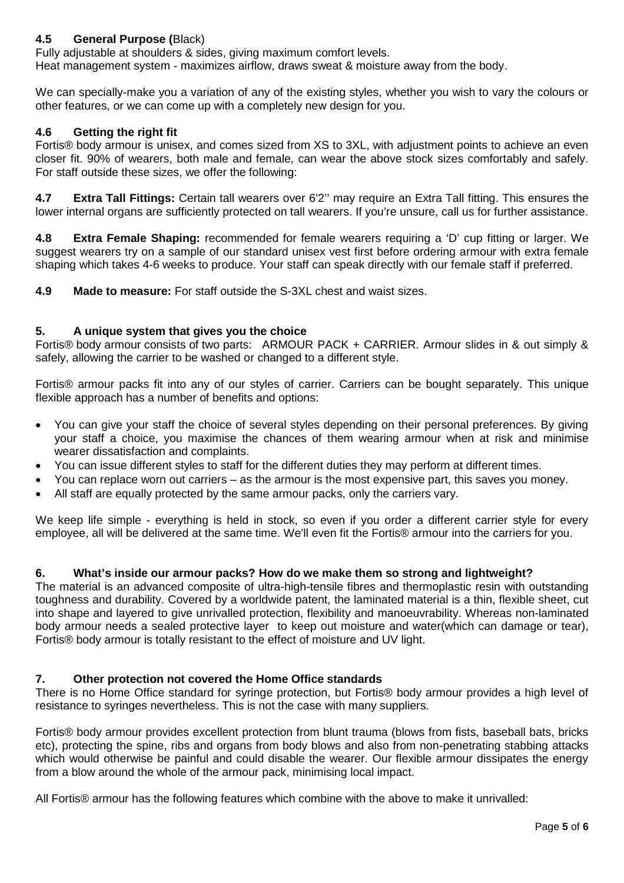# **4.5 General Purpose (**Black)

Fully adjustable at shoulders & sides, giving maximum comfort levels. Heat management system - maximizes airflow, draws sweat & moisture away from the body.

We can specially-make you a variation of any of the existing styles, whether you wish to vary the colours or other features, or we can come up with a completely new design for you.

### **4.6 Getting the right fit**

Fortis® body armour is unisex, and comes sized from XS to 3XL, with adjustment points to achieve an even closer fit. 90% of wearers, both male and female, can wear the above stock sizes comfortably and safely. For staff outside these sizes, we offer the following:

**4.7 Extra Tall Fittings:** Certain tall wearers over 6'2'' may require an Extra Tall fitting. This ensures the lower internal organs are sufficiently protected on tall wearers. If you're unsure, call us for further assistance.

**4.8 Extra Female Shaping:** recommended for female wearers requiring a 'D' cup fitting or larger. We suggest wearers try on a sample of our standard unisex vest first before ordering armour with extra female shaping which takes 4-6 weeks to produce. Your staff can speak directly with our female staff if preferred.

**4.9 Made to measure:** For staff outside the S-3XL chest and waist sizes.

## **5. A unique system that gives you the choice**

Fortis® body armour consists of two parts: ARMOUR PACK + CARRIER. Armour slides in & out simply & safely, allowing the carrier to be washed or changed to a different style.

Fortis® armour packs fit into any of our styles of carrier. Carriers can be bought separately. This unique flexible approach has a number of benefits and options:

- You can give your staff the choice of several styles depending on their personal preferences. By giving your staff a choice, you maximise the chances of them wearing armour when at risk and minimise wearer dissatisfaction and complaints.
- You can issue different styles to staff for the different duties they may perform at different times.
- You can replace worn out carriers as the armour is the most expensive part, this saves you money.
- All staff are equally protected by the same armour packs, only the carriers vary.

We keep life simple - everything is held in stock, so even if you order a different carrier style for every employee, all will be delivered at the same time. We'll even fit the Fortis® armour into the carriers for you.

#### **6. What's inside our armour packs? How do we make them so strong and lightweight?**

The material is an advanced composite of ultra-high-tensile fibres and thermoplastic resin with outstanding toughness and durability. Covered by a worldwide patent, the laminated material is a thin, flexible sheet, cut into shape and layered to give unrivalled protection, flexibility and manoeuvrability. Whereas non-laminated body armour needs a sealed protective layer to keep out moisture and water(which can damage or tear), Fortis® body armour is totally resistant to the effect of moisture and UV light.

#### **7. Other protection not covered the Home Office standards**

There is no Home Office standard for syringe protection, but Fortis® body armour provides a high level of resistance to syringes nevertheless. This is not the case with many suppliers.

Fortis® body armour provides excellent protection from blunt trauma (blows from fists, baseball bats, bricks etc), protecting the spine, ribs and organs from body blows and also from non-penetrating stabbing attacks which would otherwise be painful and could disable the wearer. Our flexible armour dissipates the energy from a blow around the whole of the armour pack, minimising local impact.

All Fortis® armour has the following features which combine with the above to make it unrivalled: